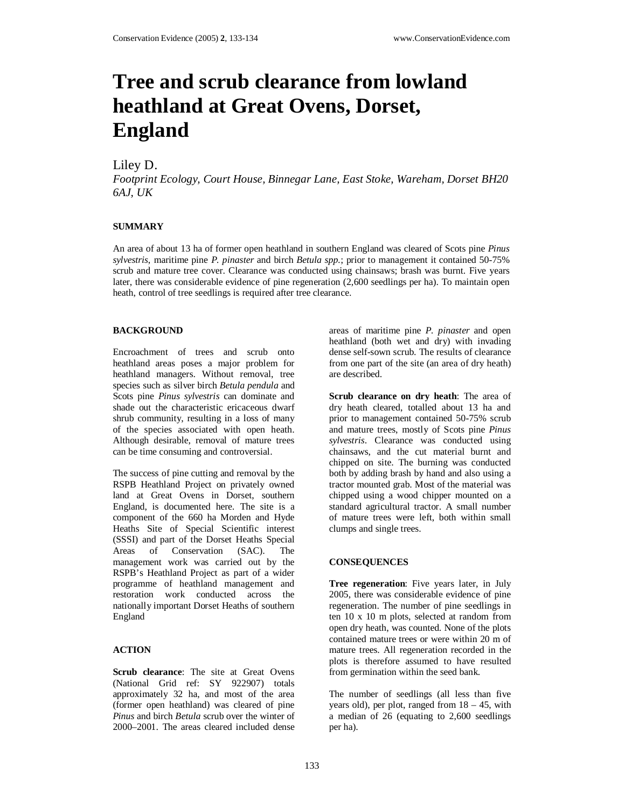# **Tree and scrub clearance from lowland heathland at Great Ovens, Dorset, England**

# Liley D.

*Footprint Ecology, Court House, Binnegar Lane, East Stoke, Wareham, Dorset BH20 6AJ, UK* 

# **SUMMARY**

An area of about 13 ha of former open heathland in southern England was cleared of Scots pine *Pinus sylvestris*, maritime pine *P. pinaster* and birch *Betula spp.*; prior to management it contained 50-75% scrub and mature tree cover. Clearance was conducted using chainsaws; brash was burnt. Five years later, there was considerable evidence of pine regeneration (2,600 seedlings per ha). To maintain open heath, control of tree seedlings is required after tree clearance.

#### **BACKGROUND**

Encroachment of trees and scrub onto heathland areas poses a major problem for heathland managers. Without removal, tree species such as silver birch *Betula pendula* and Scots pine *Pinus sylvestris* can dominate and shade out the characteristic ericaceous dwarf shrub community, resulting in a loss of many of the species associated with open heath. Although desirable, removal of mature trees can be time consuming and controversial.

The success of pine cutting and removal by the RSPB Heathland Project on privately owned land at Great Ovens in Dorset, southern England, is documented here. The site is a component of the 660 ha Morden and Hyde Heaths Site of Special Scientific interest (SSSI) and part of the Dorset Heaths Special<br>Areas of Conservation (SAC). The of Conservation (SAC). The management work was carried out by the RSPB's Heathland Project as part of a wider programme of heathland management and restoration work conducted across the nationally important Dorset Heaths of southern England

# **ACTION**

**Scrub clearance**: The site at Great Ovens (National Grid ref: SY 922907) totals approximately 32 ha, and most of the area (former open heathland) was cleared of pine *Pinus* and birch *Betula* scrub over the winter of 2000–2001. The areas cleared included dense

areas of maritime pine *P. pinaster* and open heathland (both wet and dry) with invading dense self-sown scrub. The results of clearance from one part of the site (an area of dry heath) are described.

**Scrub clearance on dry heath**: The area of dry heath cleared, totalled about 13 ha and prior to management contained 50-75% scrub and mature trees, mostly of Scots pine *Pinus sylvestris*. Clearance was conducted using chainsaws, and the cut material burnt and chipped on site. The burning was conducted both by adding brash by hand and also using a tractor mounted grab. Most of the material was chipped using a wood chipper mounted on a standard agricultural tractor. A small number of mature trees were left, both within small clumps and single trees.

# **CONSEQUENCES**

**Tree regeneration**: Five years later, in July 2005, there was considerable evidence of pine regeneration. The number of pine seedlings in ten 10 x 10 m plots, selected at random from open dry heath, was counted. None of the plots contained mature trees or were within 20 m of mature trees. All regeneration recorded in the plots is therefore assumed to have resulted from germination within the seed bank.

The number of seedlings (all less than five years old), per plot, ranged from  $18 - 45$ , with a median of 26 (equating to 2,600 seedlings per ha).